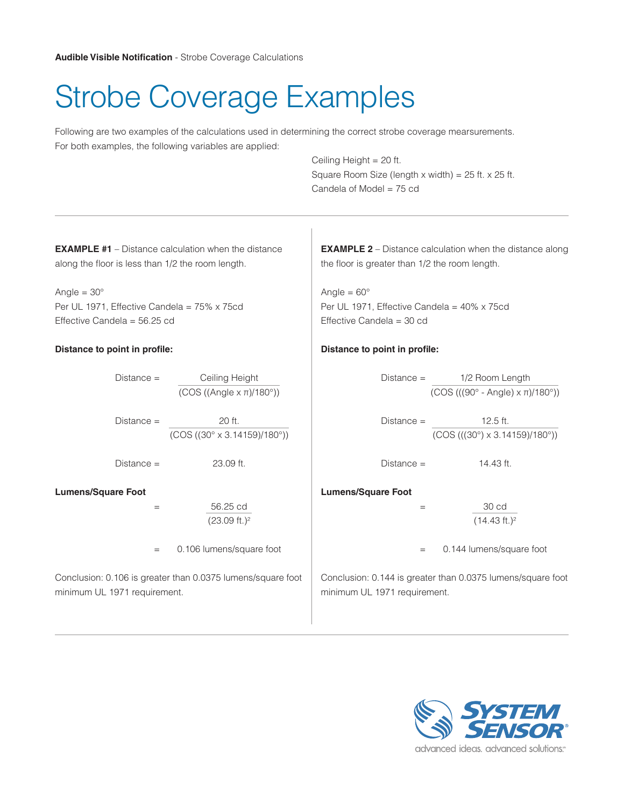# Strobe Coverage Examples

Following are two examples of the calculations used in determining the correct strobe coverage mearsurements. For both examples, the following variables are applied:

> Ceiling Height = 20 ft. Square Room Size (length x width) =  $25$  ft. x  $25$  ft. Candela of Model = 75 cd

**EXAMPLE #1** – Distance calculation when the distance along the floor is less than 1/2 the room length.

Angle  $= 30^\circ$ Per UL 1971, Effective Candela = 75% x 75cd Effective Candela = 56.25 cd

## **Distance to point in profile:**

Distance = Ceiling Height (COS ((Angle x π)/180°))

 $Distance = 20 ft.$ (COS ((30° x 3.14159)/180°))

 $Distance = 23.09$  ft.

**Lumens/Square Foot**

= 56.25 cd (23.09 ft.)2

= 0.106 lumens/square foot

Conclusion: 0.106 is greater than 0.0375 lumens/square foot minimum UL 1971 requirement.

**EXAMPLE 2** – Distance calculation when the distance along the floor is greater than 1/2 the room length.

Angle =  $60^\circ$ Per UL 1971, Effective Candela = 40% x 75cd Effective Candela = 30 cd

#### **Distance to point in profile:**

Distance = 1/2 Room Length (COS (((90° - Angle) x π)/180°))

 $Distance = 12.5 ft.$ (COS (((30°) x 3.14159)/180°))

 $Distance = 14.43$  ft.

## **Lumens/Square Foot**

= 30 cd  $(14.43 ft.)<sup>2</sup>$ 

= 0.144 lumens/square foot

Conclusion: 0.144 is greater than 0.0375 lumens/square foot minimum UL 1971 requirement.